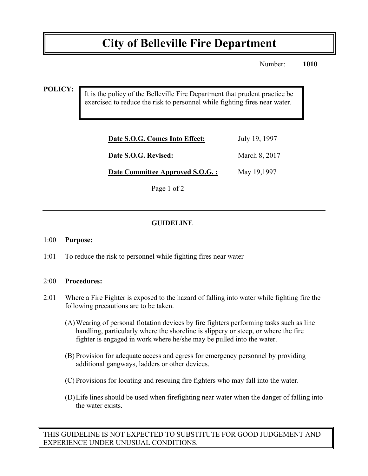# **City of Belleville Fire Department**

Number: **1010**

### **POLICY:**

It is the policy of the Belleville Fire Department that prudent practice be exercised to reduce the risk to personnel while fighting fires near water.

| Date S.O.G. Comes Into Effect:  | July 19, 1997 |
|---------------------------------|---------------|
| Date S.O.G. Revised:            | March 8, 2017 |
| Date Committee Approved S.O.G.: | May 19,1997   |

Page 1 of 2

## **GUIDELINE**

#### 1:00 **Purpose:**

1:01 To reduce the risk to personnel while fighting fires near water

#### 2:00 **Procedures:**

- 2:01 Where a Fire Fighter is exposed to the hazard of falling into water while fighting fire the following precautions are to be taken.
	- (A)Wearing of personal flotation devices by fire fighters performing tasks such as line handling, particularly where the shoreline is slippery or steep, or where the fire fighter is engaged in work where he/she may be pulled into the water.
	- (B) Provision for adequate access and egress for emergency personnel by providing additional gangways, ladders or other devices.
	- (C) Provisions for locating and rescuing fire fighters who may fall into the water.
	- (D)Life lines should be used when firefighting near water when the danger of falling into the water exists.

THIS GUIDELINE IS NOT EXPECTED TO SUBSTITUTE FOR GOOD JUDGEMENT AND EXPERIENCE UNDER UNUSUAL CONDITIONS.